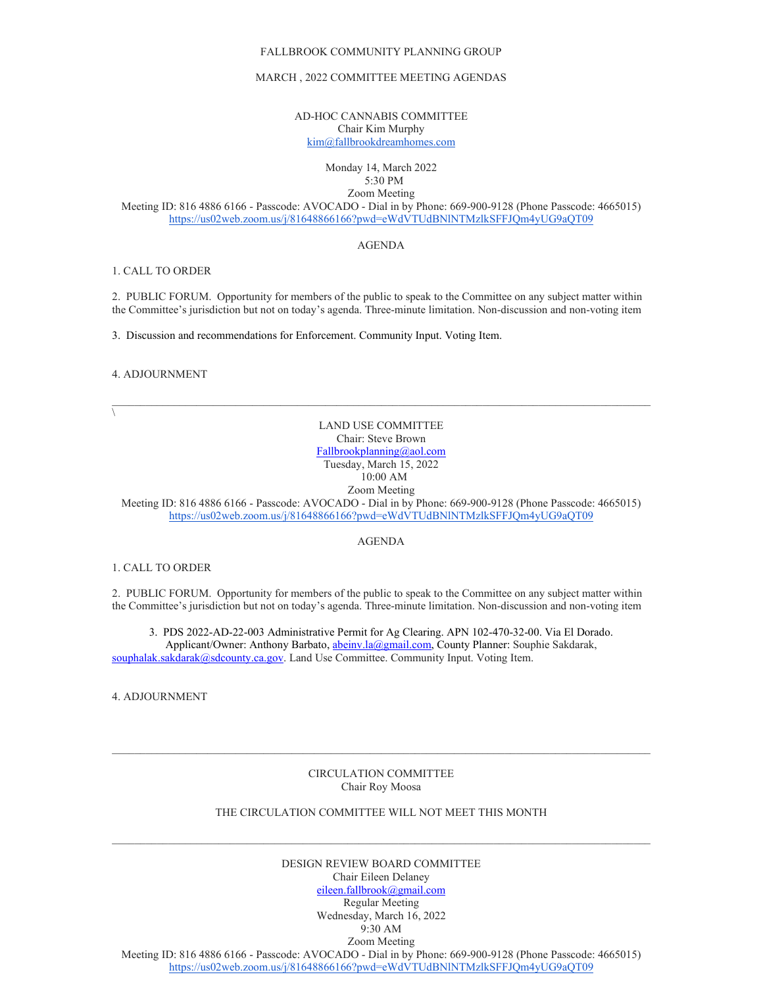#### FALLBROOK COMMUNITY PLANNING GROUP

## MARCH , 2022 COMMITTEE MEETING AGENDAS

AD-HOC CANNABIS COMMITTEE Chair Kim Murphy [kim@fallbrookdreamhomes.com](mailto:kim@fallbrookdreamhomes.com)

### Monday 14, March 2022 5:30 PM

Zoom Meeting

Meeting ID: 816 4886 6166 - Passcode: AVOCADO - Dial in by Phone: 669-900-9128 (Phone Passcode: 4665015) <https://us02web.zoom.us/j/81648866166?pwd=eWdVTUdBNlNTMzlkSFFJQm4yUG9aQT09>

# AGENDA

# 1. CALL TO ORDER

2. PUBLIC FORUM. Opportunity for members of the public to speak to the Committee on any subject matter within the Committee's jurisdiction but not on today's agenda. Three-minute limitation. Non-discussion and non-voting item

3. Discussion and recommendations for Enforcement. Community Input. Voting Item.

#### 4. ADJOURNMENT

 $\setminus$ 

# LAND USE COMMITTEE Chair: Steve Brown [Fallbrookplanning@aol.com](mailto:Fallbrookplanning@aol.com) Tuesday, March 15, 2022 10:00 AM

Zoom Meeting

Meeting ID: 816 4886 6166 - Passcode: AVOCADO - Dial in by Phone: 669-900-9128 (Phone Passcode: 4665015) <https://us02web.zoom.us/j/81648866166?pwd=eWdVTUdBNlNTMzlkSFFJQm4yUG9aQT09>

### AGENDA

#### 1. CALL TO ORDER

2. PUBLIC FORUM. Opportunity for members of the public to speak to the Committee on any subject matter within the Committee's jurisdiction but not on today's agenda. Three-minute limitation. Non-discussion and non-voting item

3. PDS 2022-AD-22-003 Administrative Permit for Ag Clearing. APN 102-470-32-00. Via El Dorado. Applicant/Owner: Anthony Barbato, *abeiny.la@gmail.com*, County Planner: Souphie Sakdarak, [souphalak.sakdarak@sdcounty.ca.gov.](mailto:souphalak.sakdarak@sdcounty.ca.gov) Land Use Committee. Community Input. Voting Item.

4. ADJOURNMENT

# CIRCULATION COMMITTEE Chair Roy Moosa

 $\mathcal{L}_\mathcal{L} = \{ \mathcal{L}_\mathcal{L} = \{ \mathcal{L}_\mathcal{L} = \{ \mathcal{L}_\mathcal{L} = \{ \mathcal{L}_\mathcal{L} = \{ \mathcal{L}_\mathcal{L} = \{ \mathcal{L}_\mathcal{L} = \{ \mathcal{L}_\mathcal{L} = \{ \mathcal{L}_\mathcal{L} = \{ \mathcal{L}_\mathcal{L} = \{ \mathcal{L}_\mathcal{L} = \{ \mathcal{L}_\mathcal{L} = \{ \mathcal{L}_\mathcal{L} = \{ \mathcal{L}_\mathcal{L} = \{ \mathcal{L}_\mathcal{$ 

### THE CIRCULATION COMMITTEE WILL NOT MEET THIS MONTH

 $\_$  , and the set of the set of the set of the set of the set of the set of the set of the set of the set of the set of the set of the set of the set of the set of the set of the set of the set of the set of the set of th

DESIGN REVIEW BOARD COMMITTEE Chair Eileen Delaney [eileen.fallbrook@gmail.com](mailto:eileen.fallbrook@gmail.com) Regular Meeting Wednesday, March 16, 2022 9:30 AM Zoom Meeting

Meeting ID: 816 4886 6166 - Passcode: AVOCADO - Dial in by Phone: 669-900-9128 (Phone Passcode: 4665015) <https://us02web.zoom.us/j/81648866166?pwd=eWdVTUdBNlNTMzlkSFFJQm4yUG9aQT09>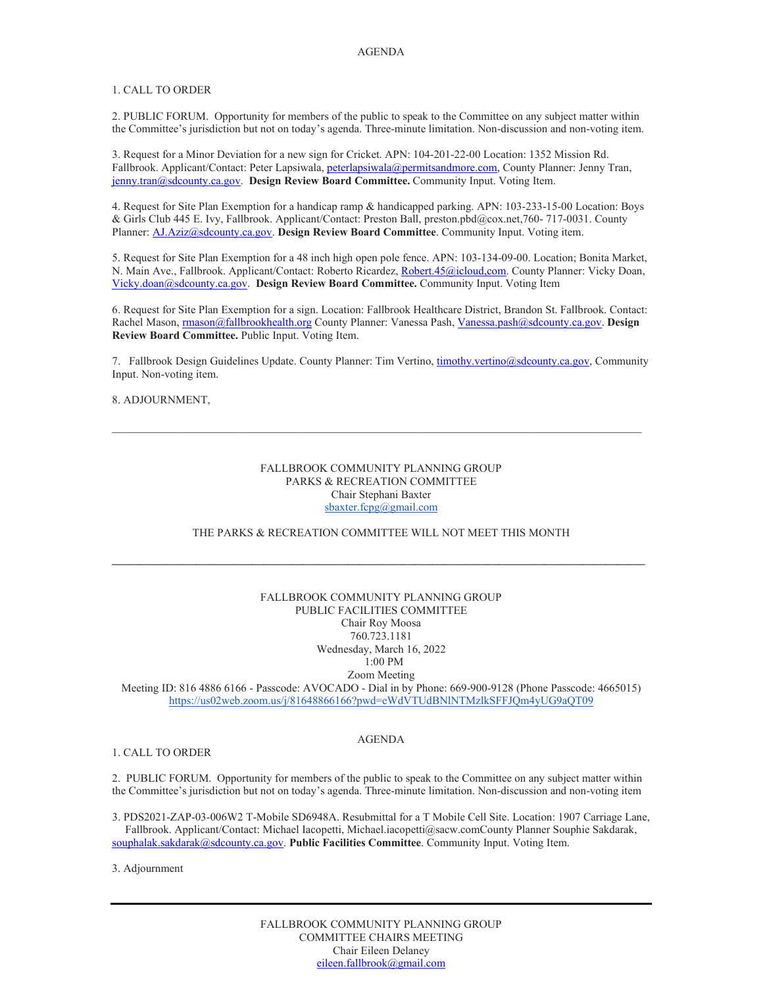# 1. CALL TO ORDER

2. PUBLIC FORUM. Opportunity for members of the public to speak to the Committee on any subject matter within the Committee's jurisdiction but not on today's agenda. Three-minute limitation. Non-discussion and non-voting item.

3. Request for a Minor Deviation for a new sign for Cricket. APN: 104-201-22-00 Location: 1352 Mission Rd. Fallbrook. Applicant/Contact: Peter Lapsiwala[, peterlapsiwala@permitsandmore.com,](mailto:peterlapsiwala@permitsandmore.com) County Planner: Jenny Tran, [jenny.tran@sdcounty.ca.gov.](mailto:jenny.tran@sdcounty.ca.gov) **Design Review Board Committee.** Community Input. Voting Item.

4. Request for Site Plan Exemption for a handicap ramp & handicapped parking. APN: 103-233-15-00 Location: Boys & Girls Club 445 E. Ivy, Fallbrook. Applicant/Contact: Preston Ball, preston.pbd@cox.net,760- 717-0031. County Planner[: AJ.Aziz@sdcounty.ca.gov.](mailto:AJ.Aziz@sdcounty.ca.gov) **Design Review Board Committee**. Community Input. Voting item.

5. Request for Site Plan Exemption for a 48 inch high open pole fence. APN: 103-134-09-00. Location; Bonita Market, N. Main Ave., Fallbrook. Applicant/Contact: Roberto Ricardez, Robert.45@icloud.com. County Planner: Vicky Doan, [Vicky.doan@sdcounty.ca.gov.](mailto:Vicky.doan@sdcounty.ca.gov) **Design Review Board Committee.** Community Input. Voting Item

6. Request for Site Plan Exemption for a sign. Location: Fallbrook Healthcare District, Brandon St. Fallbrook. Contact: Rachel Mason[, rmason@fallbrookhealth.org](mailto:rmason@fallbrookhealth.org) County Planner: Vanessa Pash, [Vanessa.pash@sdcounty.ca.gov.](mailto:Vanessa.pash@sdcounty.ca.gov) **Design Review Board Committee.** Public Input. Voting Item.

7. Fallbrook Design Guidelines Update. County Planner: Tim Vertino[, timothy.vertino@sdcounty.ca.gov,](mailto:timothy.vertino@sdcounty.ca.gov) Community Input. Non-voting item.

 $\mathcal{L}_\mathcal{L} = \{ \mathcal{L}_\mathcal{L} = \{ \mathcal{L}_\mathcal{L} = \{ \mathcal{L}_\mathcal{L} = \{ \mathcal{L}_\mathcal{L} = \{ \mathcal{L}_\mathcal{L} = \{ \mathcal{L}_\mathcal{L} = \{ \mathcal{L}_\mathcal{L} = \{ \mathcal{L}_\mathcal{L} = \{ \mathcal{L}_\mathcal{L} = \{ \mathcal{L}_\mathcal{L} = \{ \mathcal{L}_\mathcal{L} = \{ \mathcal{L}_\mathcal{L} = \{ \mathcal{L}_\mathcal{L} = \{ \mathcal{L}_\mathcal{$ 

# 8. ADJOURNMENT,

# FALLBROOK COMMUNITY PLANNING GROUP PARKS & RECREATION COMMITTEE Chair Stephani Baxter [sbaxter.fcpg@gmail.com](mailto:sbaxter.fcpg@gmail.com)

# THE PARKS & RECREATION COMMITTEE WILL NOT MEET THIS MONTH

**\_\_\_\_\_\_\_\_\_\_\_\_\_\_\_\_\_\_\_\_\_\_\_\_\_\_\_\_\_\_\_\_\_\_\_\_\_\_\_\_\_\_\_\_\_\_\_\_\_\_\_\_\_\_\_\_\_\_\_\_\_\_\_\_\_\_\_\_\_\_\_\_\_\_\_\_\_\_\_\_\_\_\_\_\_\_\_\_\_\_\_\_\_\_\_**

# FALLBROOK COMMUNITY PLANNING GROUP PUBLIC FACILITIES COMMITTEE Chair Roy Moosa 760.723.1181 Wednesday, March 16, 2022 1:00 PM

Zoom Meeting

Meeting ID: 816 4886 6166 - Passcode: AVOCADO - Dial in by Phone: 669-900-9128 (Phone Passcode: 4665015) <https://us02web.zoom.us/j/81648866166?pwd=eWdVTUdBNlNTMzlkSFFJQm4yUG9aQT09>

### 1. CALL TO ORDER

### AGENDA

2. PUBLIC FORUM. Opportunity for members of the public to speak to the Committee on any subject matter within the Committee's jurisdiction but not on today's agenda. Three-minute limitation. Non-discussion and non-voting item

3. PDS2021-ZAP-03-006W2 T-Mobile SD6948A. Resubmittal for a T Mobile Cell Site. Location: 1907 Carriage Lane, Fallbrook. Applicant/Contact: Michael Iacopetti, Michael.iacopetti@sacw.comCounty Planner Souphie Sakdarak, [souphalak.sakdarak@sdcounty.ca.gov.](mailto:souphalak.sakdarak@sdcounty.ca.gov) **Public Facilities Committee**. Community Input. Voting Item.

3. Adjournment